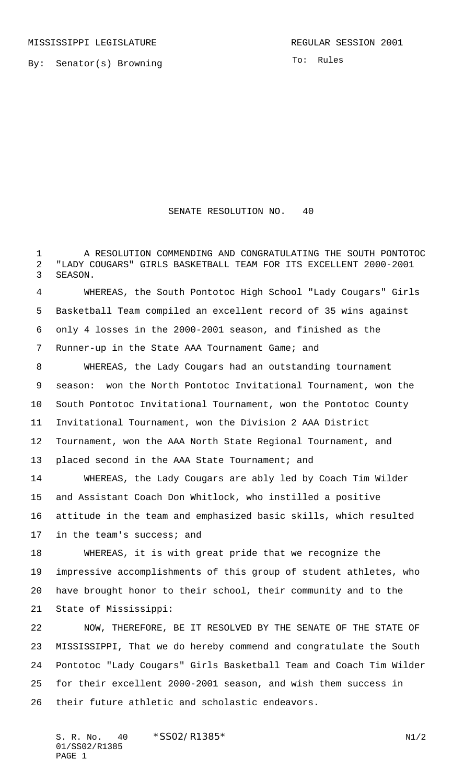By: Senator(s) Browning

To: Rules

## SENATE RESOLUTION NO. 40

 A RESOLUTION COMMENDING AND CONGRATULATING THE SOUTH PONTOTOC "LADY COUGARS" GIRLS BASKETBALL TEAM FOR ITS EXCELLENT 2000-2001 SEASON.

 WHEREAS, the South Pontotoc High School "Lady Cougars" Girls Basketball Team compiled an excellent record of 35 wins against only 4 losses in the 2000-2001 season, and finished as the Runner-up in the State AAA Tournament Game; and

 WHEREAS, the Lady Cougars had an outstanding tournament season: won the North Pontotoc Invitational Tournament, won the South Pontotoc Invitational Tournament, won the Pontotoc County Invitational Tournament, won the Division 2 AAA District Tournament, won the AAA North State Regional Tournament, and 13 placed second in the AAA State Tournament; and

 WHEREAS, the Lady Cougars are ably led by Coach Tim Wilder and Assistant Coach Don Whitlock, who instilled a positive attitude in the team and emphasized basic skills, which resulted in the team's success; and

 WHEREAS, it is with great pride that we recognize the impressive accomplishments of this group of student athletes, who have brought honor to their school, their community and to the State of Mississippi:

 NOW, THEREFORE, BE IT RESOLVED BY THE SENATE OF THE STATE OF MISSISSIPPI, That we do hereby commend and congratulate the South Pontotoc "Lady Cougars" Girls Basketball Team and Coach Tim Wilder for their excellent 2000-2001 season, and wish them success in their future athletic and scholastic endeavors.